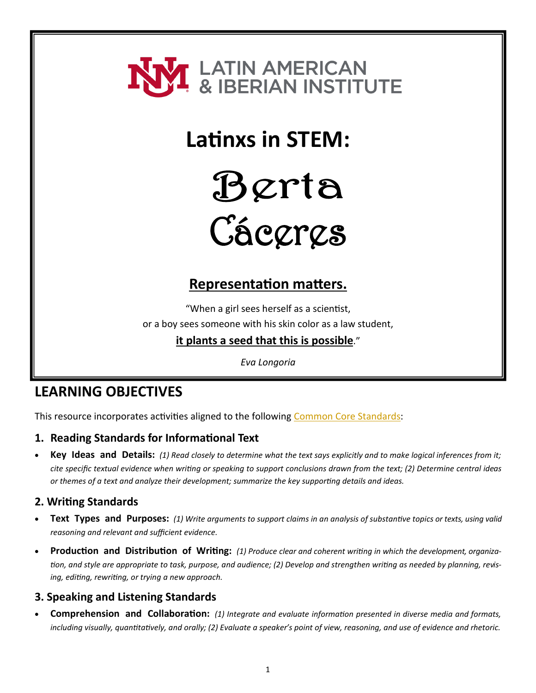

## **Latinxs in STEM:**



# Cáceres

#### **Representation matters.**

"When a girl sees herself as a scientist,

or a boy sees someone with his skin color as a law student,

#### **it plants a seed that this is possible**."

*Eva Longoria*

#### **LEARNING OBJECTIVES**

This resource incorporates activities aligned to the following [Common Core Standards:](http://www.corestandards.org/wp-content/uploads/ELA_Standards1.pdf)

#### **1. Reading Standards for Informational Text**

• **Key Ideas and Details:** *(1) Read closely to determine what the text says explicitly and to make logical inferences from it; cite specific textual evidence when writing or speaking to support conclusions drawn from the text; (2) Determine central ideas or themes of a text and analyze their development; summarize the key supporting details and ideas.*

#### **2. Writing Standards**

- **Text Types and Purposes:** *(1) Write arguments to support claims in an analysis of substantive topics or texts, using valid reasoning and relevant and sufficient evidence.*
- **Production and Distribution of Writing:** *(1) Produce clear and coherent writing in which the development, organization, and style are appropriate to task, purpose, and audience; (2) Develop and strengthen writing as needed by planning, revising, editing, rewriting, or trying a new approach.*

#### **3. Speaking and Listening Standards**

• **Comprehension and Collaboration:** *(1) Integrate and evaluate information presented in diverse media and formats, including visually, quantitatively, and orally; (2) Evaluate a speaker's point of view, reasoning, and use of evidence and rhetoric.*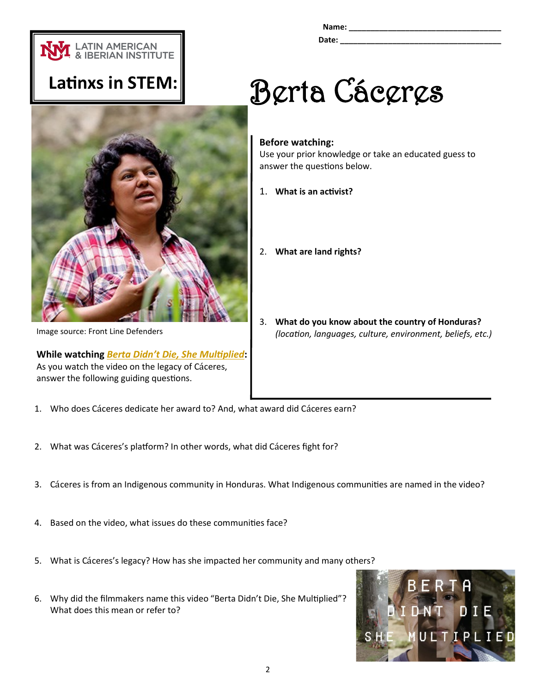

**Name: \_\_\_\_\_\_\_\_\_\_\_\_\_\_\_\_\_\_\_\_\_\_\_\_\_\_\_\_\_\_\_\_\_\_\_**

**Date:**  $\blacksquare$ 

### **Latinxs in STEM:**



Image source: Front Line Defenders

**While watching** *Berta Didn'[t Die, She Multiplied](https://vimeo.com/243485649)***:** As you watch the video on the legacy of Cáceres, answer the following guiding questions.

# Berta Cáceres

#### **Before watching:**

Use your prior knowledge or take an educated guess to answer the questions below.

- 1. **What is an activist?**
- 2. **What are land rights?**
- 3. **What do you know about the country of Honduras?**  *(location, languages, culture, environment, beliefs, etc.)*
- 1. Who does Cáceres dedicate her award to? And, what award did Cáceres earn?
- 2. What was Cáceres's platform? In other words, what did Cáceres fight for?
- 3. Cá ceres is from an Indigenous community in Honduras. What Indigenous communities are named in the video?
- 4. Based on the video, what issues do these communities face?
- 5. What is Cáceres's legacy? How has she impacted her community and many others?
- 6. Why did the filmmakers name this video "Berta Didn't Die, She Multiplied"? What does this mean or refer to?

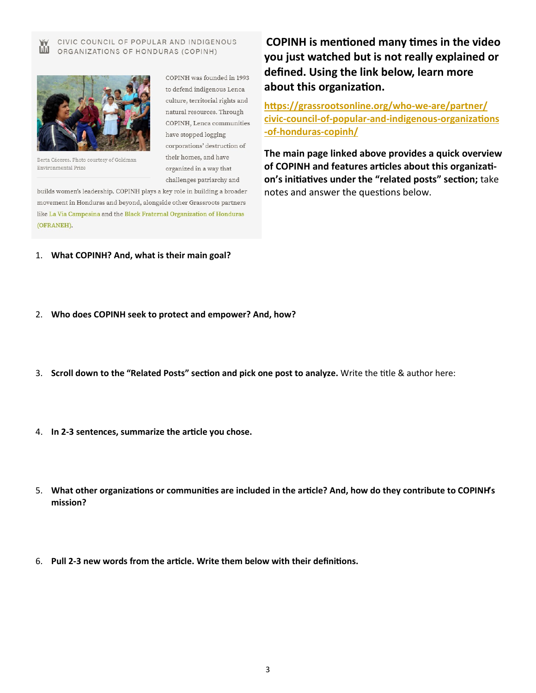CIVIC COUNCIL OF POPULAR AND INDIGENOUS Ŵ ORGANIZATIONS OF HONDURAS (COPINH)



Berta Cáceres. Photo courtesy of Goldman Environmental Prize

COPINH was founded in 1993 to defend indigenous Lenca culture, territorial rights and natural resources. Through COPINH, Lenca communities have stopped logging corporations' destruction of their homes, and have organized in a way that challenges patriarchy and

builds women's leadership. COPINH plays a key role in building a broader movement in Honduras and beyond, alongside other Grassroots partners like La Via Campesina and the Black Fraternal Organization of Honduras (OFRANEH).

**COPINH is mentioned many times in the video you just watched but is not really explained or defined. Using the link below, learn more about this organization.**

**[https://grassrootsonline.org/who](https://grassrootsonline.org/who-we-are/partner/civic-council-of-popular-and-indigenous-organizations-of-honduras-copinh/)-we-are/partner/ civic-council-of-popular-and-indigenous-[organizations](https://grassrootsonline.org/who-we-are/partner/civic-council-of-popular-and-indigenous-organizations-of-honduras-copinh/) -of-[honduras](https://grassrootsonline.org/who-we-are/partner/civic-council-of-popular-and-indigenous-organizations-of-honduras-copinh/)-copinh/** 

**The main page linked above provides a quick overview of COPINH and features articles about this organization's initiatives under the "related posts" section;** take notes and answer the questions below.

- 1. **What COPINH? And, what is their main goal?**
- 2. **Who does COPINH seek to protect and empower? And, how?**
- 3. **Scroll down to the "Related Posts" section and pick one post to analyze.** Write the title & author here:
- 4. **In 2-3 sentences, summarize the article you chose.**
- 5. **What other organizations or communities are included in the article? And, how do they contribute to COPINH's mission?**
- 6. **Pull 2-3 new words from the article. Write them below with their definitions.**